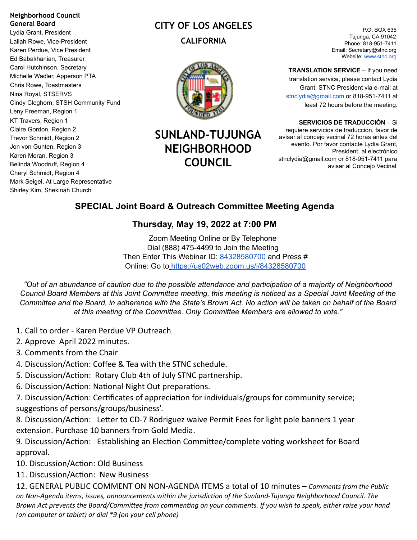#### **Neighborhood Council General Board**

Lydia Grant, President Lallah Rowe, Vice-President Karen Perdue, Vice President Ed Babakhanian, Treasurer Carol Hutchinson, Secretary Michelle Wadler, Apperson PTA Chris Rowe, Toastmasters Nina Royal, STSERVS Cindy Cleghorn, STSH Community Fund Leny Freeman, Region 1 KT Travers, Region 1 Claire Gordon, Region 2 Trevor Schmidt, Region 2 Jon von Gunten, Region 3 Karen Moran, Region 3 Belinda Woodruff, Region 4 Cheryl Schmidt, Region 4 Mark Seigel, At Large Representative Shirley Kim, Shekinah Church

# **CITY OF LOS ANGELES CALIFORNIA**



# **SUNLAND-TUJUNGA NEIGHBORHOOD COUNCIL**

P.O. BOX 635 Tujunga, CA 91042 Phone: 818-951-7411 Email: Secretary@stnc.org Website: www.stnc.org

**TRANSLATION SERVICE** – If you need translation service, please contact Lydia Grant, STNC President via e-mail at stnclydia@gmail.com or 818-951-7411 at least 72 hours before the meeting.

**SERVICIOS DE TRADUCCIÓN** – Si requiere servicios de traducción, favor de avisar al concejo vecinal 72 horas antes del evento. Por favor contacte Lydia Grant, President, al electrónico stnclydia@gmail.com or 818-951-7411 para avisar al Concejo Vecinal

## **SPECIAL Joint Board & Outreach Committee Meeting Agenda**

## **Thursday, May 19, 2022 at 7:00 PM**

Zoom Meeting Online or By Telephone Dial (888) 475-4499 to Join the Meeting Then Enter This Webinar ID: 84328580700 and Press # Online: Go to <https://us02web.zoom.us/j/84328580700>

"Out of an abundance of caution due to the possible attendance and participation of a majority of Neighborhood Council Board Members at this Joint Committee meeting, this meeting is noticed as a Special Joint Meeting of the Committee and the Board, in adherence with the State's Brown Act. No action will be taken on behalf of the Board *at this meeting of the Committee. Only Committee Members are allowed to vote."*

- 1*.* Call to order Karen Perdue VP Outreach
- 2. Approve April 2022 minutes.
- 3. Comments from the Chair
- 4. Discussion/Action: Coffee & Tea with the STNC schedule.
- 5. Discussion/Action: Rotary Club 4th of July STNC partnership.
- 6. Discussion/Action: National Night Out preparations.

7. Discussion/Action: Certificates of appreciation for individuals/groups for community service; suggestions of persons/groups/business'.

8. Discussion/Action: Letter to CD-7 Rodriguez waive Permit Fees for light pole banners 1 year extension. Purchase 10 banners from Gold Media.

9. Discussion/Action: Establishing an Election Committee/complete voting worksheet for Board approval.

10. Discussion/Action: Old Business

11. Discussion/Action: New Business

12. GENERAL PUBLIC COMMENT ON NON-AGENDA ITEMS a total of 10 minutes – *Comments from the Public on Non-Agenda items, issues, announcements within the jurisdicon of the Sunland-Tujunga Neighborhood Council. The* Brown Act prevents the Board/Committee from commenting on your comments. If you wish to speak, either raise your hand *(on computer or tablet) or dial \*9 (on your cell phone)*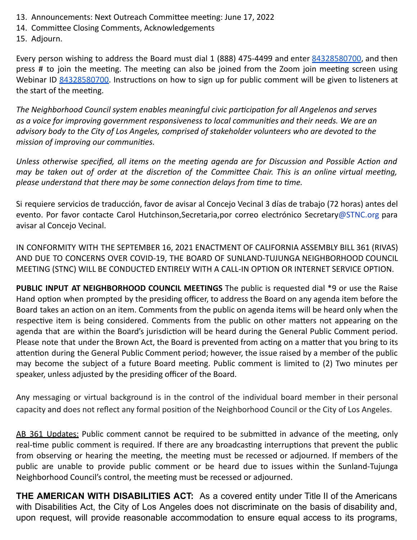- 13. Announcements: Next Outreach Committee meeting: June 17, 2022
- 14. Committee Closing Comments, Acknowledgements

15. Adjourn.

Every person wishing to address the Board must dial 1 (888) 475-4499 and enter 84328580700, and then press # to join the meeting. The meeting can also be joined from the Zoom join meeting screen using Webinar ID 84328580700. Instructions on how to sign up for public comment will be given to listeners at the start of the meeting.

*The Neighborhood Council system enables meaningful civic parcipaon for all Angelenos and serves as a voice for improving government responsiveness to local communies and their needs. We are an advisory body to the City of Los Angeles, comprised of stakeholder volunteers who are devoted to the mission of improving our communies.*

*Unless otherwise specified, all items on the meeng agenda are for Discussion and Possible Acon and* may be taken out of order at the discretion of the Committee Chair. This is an online virtual meeting, *please* understand that there may be some connection delays from time to time.

Si requiere servicios de traducción, favor de avisar al Concejo Vecinal 3 días de trabajo (72 horas) antes del evento. Por favor contacte Carol Hutchinson, Secretaria, por correo electrónico Secretary@STNC.org para avisar al Concejo Vecinal.

IN CONFORMITY WITH THE SEPTEMBER 16, 2021 ENACTMENT OF CALIFORNIA ASSEMBLY BILL 361 (RIVAS) AND DUE TO CONCERNS OVER COVID-19, THE BOARD OF SUNLAND-TUJUNGA NEIGHBORHOOD COUNCIL MEETING (STNC) WILL BE CONDUCTED ENTIRELY WITH A CALL-IN OPTION OR INTERNET SERVICE OPTION.

**PUBLIC INPUT AT NEIGHBORHOOD COUNCIL MEETINGS** The public is requested dial \*9 or use the Raise Hand option when prompted by the presiding officer, to address the Board on any agenda item before the Board takes an action on an item. Comments from the public on agenda items will be heard only when the respective item is being considered. Comments from the public on other matters not appearing on the agenda that are within the Board's jurisdiction will be heard during the General Public Comment period. Please note that under the Brown Act, the Board is prevented from acting on a matter that you bring to its attention during the General Public Comment period; however, the issue raised by a member of the public may become the subject of a future Board meeting. Public comment is limited to (2) Two minutes per speaker, unless adjusted by the presiding officer of the Board.

Any messaging or virtual background is in the control of the individual board member in their personal capacity and does not reflect any formal position of the Neighborhood Council or the City of Los Angeles.

AB 361 Updates: Public comment cannot be required to be submitted in advance of the meeting, only real-time public comment is required. If there are any broadcasting interruptions that prevent the public from observing or hearing the meeting, the meeting must be recessed or adjourned. If members of the public are unable to provide public comment or be heard due to issues within the Sunland-Tujunga Neighborhood Council's control, the meeting must be recessed or adjourned.

**THE AMERICAN WITH DISABILITIES ACT:** As a covered entity under Title II of the Americans with Disabilities Act, the City of Los Angeles does not discriminate on the basis of disability and, upon request, will provide reasonable accommodation to ensure equal access to its programs,